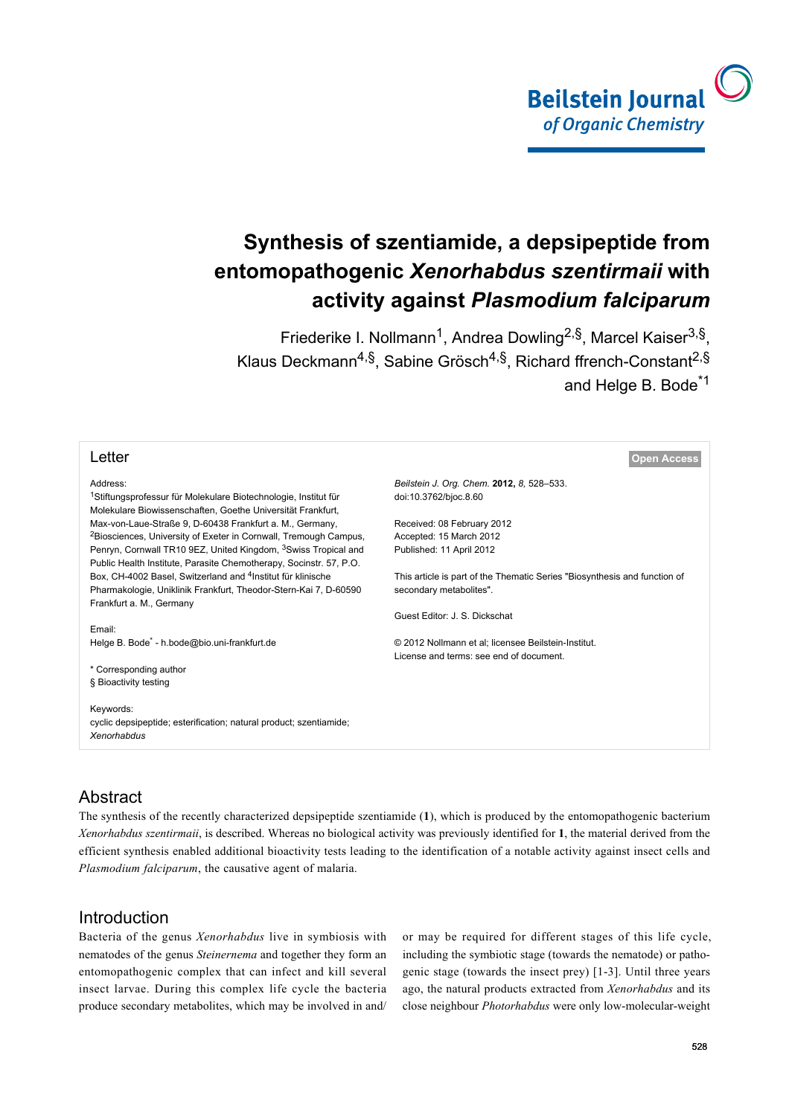

# **Synthesis of szentiamide, a depsipeptide from entomopathogenic** *Xenorhabdus szentirmaii* **with activity against** *Plasmodium falciparum*

Friederike I. Nollmann<sup>1</sup>, Andrea Dowling<sup>2,§</sup>, Marcel Kaiser<sup>3,§</sup>, Klaus Deckmann<sup>4,§</sup>, Sabine Grösch<sup>4,§</sup>, Richard ffrench-Constant<sup>2,§</sup> and Helge B. Bode<sup>\*1</sup>

| Letter                                                                                                                                           | <b>Open Access</b>                                                        |
|--------------------------------------------------------------------------------------------------------------------------------------------------|---------------------------------------------------------------------------|
| Address:                                                                                                                                         | Beilstein J. Org. Chem. 2012, 8, 528-533.                                 |
| <sup>1</sup> Stiftungsprofessur für Molekulare Biotechnologie, Institut für<br>Molekulare Biowissenschaften, Goethe Universität Frankfurt,       | doi:10.3762/bjoc.8.60                                                     |
| Max-von-Laue-Straße 9, D-60438 Frankfurt a. M., Germany,                                                                                         | Received: 08 February 2012                                                |
| <sup>2</sup> Biosciences, University of Exeter in Cornwall, Tremough Campus,                                                                     | Accepted: 15 March 2012                                                   |
| Penryn, Cornwall TR10 9EZ, United Kingdom, <sup>3</sup> Swiss Tropical and<br>Public Health Institute, Parasite Chemotherapy, Socinstr. 57, P.O. | Published: 11 April 2012                                                  |
| Box, CH-4002 Basel, Switzerland and <sup>4</sup> Institut für klinische                                                                          | This article is part of the Thematic Series "Biosynthesis and function of |
| Pharmakologie, Uniklinik Frankfurt, Theodor-Stern-Kai 7, D-60590<br>Frankfurt a. M., Germany                                                     | secondary metabolites".                                                   |
|                                                                                                                                                  | Guest Editor: J. S. Dickschat                                             |
| Email:                                                                                                                                           |                                                                           |
| Helge B. Bode <sup>*</sup> - h.bode@bio.uni-frankfurt.de                                                                                         | © 2012 Nollmann et al; licensee Beilstein-Institut.                       |
|                                                                                                                                                  | License and terms: see end of document.                                   |
| * Corresponding author                                                                                                                           |                                                                           |
| § Bioactivity testing                                                                                                                            |                                                                           |
| Keywords:                                                                                                                                        |                                                                           |
| cyclic depsipeptide; esterification; natural product; szentiamide;                                                                               |                                                                           |
| <b>Xenorhabdus</b>                                                                                                                               |                                                                           |

# Abstract

The synthesis of the recently characterized depsipeptide szentiamide (**1**), which is produced by the entomopathogenic bacterium *Xenorhabdus szentirmaii*, is described. Whereas no biological activity was previously identified for **1**, the material derived from the efficient synthesis enabled additional bioactivity tests leading to the identification of a notable activity against insect cells and *Plasmodium falciparum*, the causative agent of malaria.

## **Introduction**

Bacteria of the genus *Xenorhabdus* live in symbiosis with nematodes of the genus *Steinernema* and together they form an entomopathogenic complex that can infect and kill several insect larvae. During this complex life cycle the bacteria produce secondary metabolites, which may be involved in and/

or may be required for different stages of this life cycle, including the symbiotic stage (towards the nematode) or pathogenic stage (towards the insect prey) [\[1-3\]](#page-5-0). Until three years ago, the natural products extracted from *Xenorhabdus* and its close neighbour *Photorhabdus* were only low-molecular-weight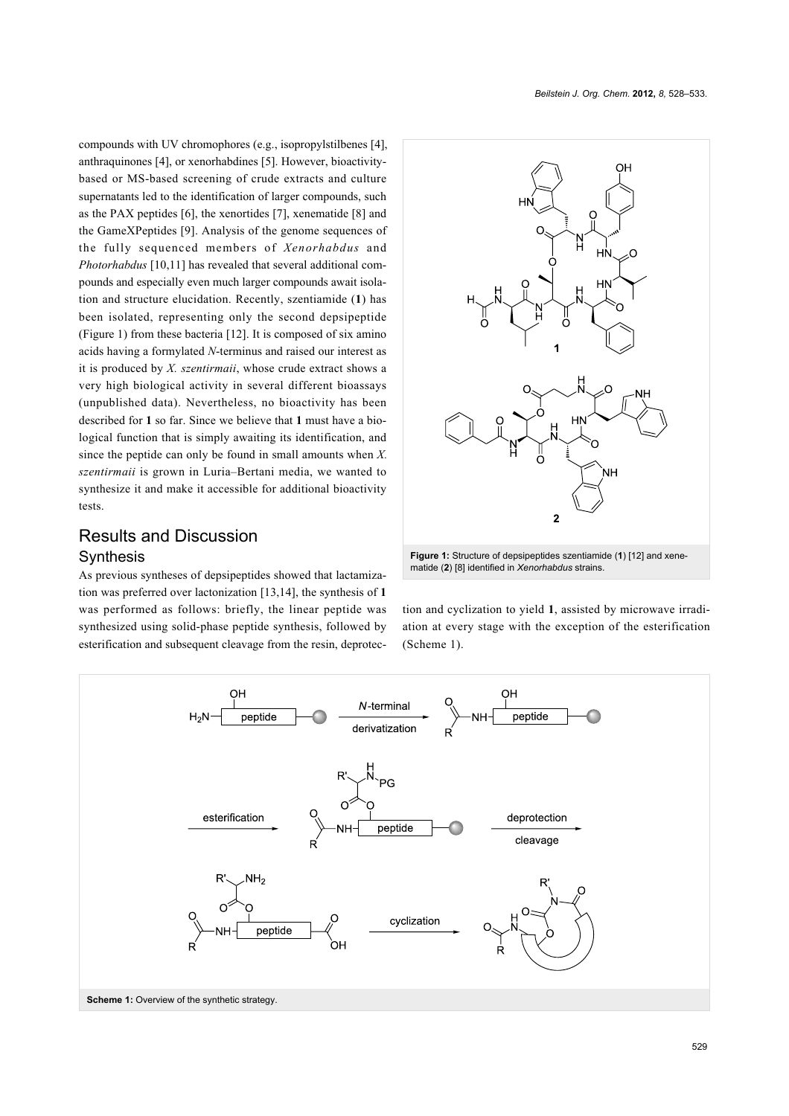compounds with UV chromophores (e.g., isopropylstilbenes [\[4\]](#page-5-1), anthraquinones [\[4\],](#page-5-1) or xenorhabdines [\[5\].](#page-5-2) However, bioactivitybased or MS-based screening of crude extracts and culture supernatants led to the identification of larger compounds, such as the PAX peptides [\[6\],](#page-5-3) the xenortides [\[7\]](#page-5-4), xenematide [\[8\]](#page-5-5) and the GameXPeptides [\[9\]](#page-5-6). Analysis of the genome sequences of the fully sequenced members of *Xenorhabdus* and *Photorhabdus* [\[10,11\]](#page-5-7) has revealed that several additional compounds and especially even much larger compounds await isolation and structure elucidation. Recently, szentiamide (**1**) has been isolated, representing only the second depsipeptide ([Figure 1](#page-1-0)) from these bacteria [\[12\].](#page-5-8) It is composed of six amino acids having a formylated *N*-terminus and raised our interest as it is produced by *X. szentirmaii*, whose crude extract shows a very high biological activity in several different bioassays (unpublished data). Nevertheless, no bioactivity has been described for **1** so far. Since we believe that **1** must have a biological function that is simply awaiting its identification, and since the peptide can only be found in small amounts when *X. szentirmaii* is grown in Luria–Bertani media, we wanted to synthesize it and make it accessible for additional bioactivity tests.

# *Beilstein J. Org. Chem.* **2012,** *8,* 528–533.

<span id="page-1-0"></span>

## Results and Discussion

#### Synthesis

As previous syntheses of depsipeptides showed that lactamization was preferred over lactonization [\[13,14\],](#page-5-9) the synthesis of **1** was performed as follows: briefly, the linear peptide was synthesized using solid-phase peptide synthesis, followed by esterification and subsequent cleavage from the resin, deprotec-

tion and cyclization to yield **1**, assisted by microwave irradiation at every stage with the exception of the esterification

<span id="page-1-1"></span>

([Scheme 1](#page-1-1)).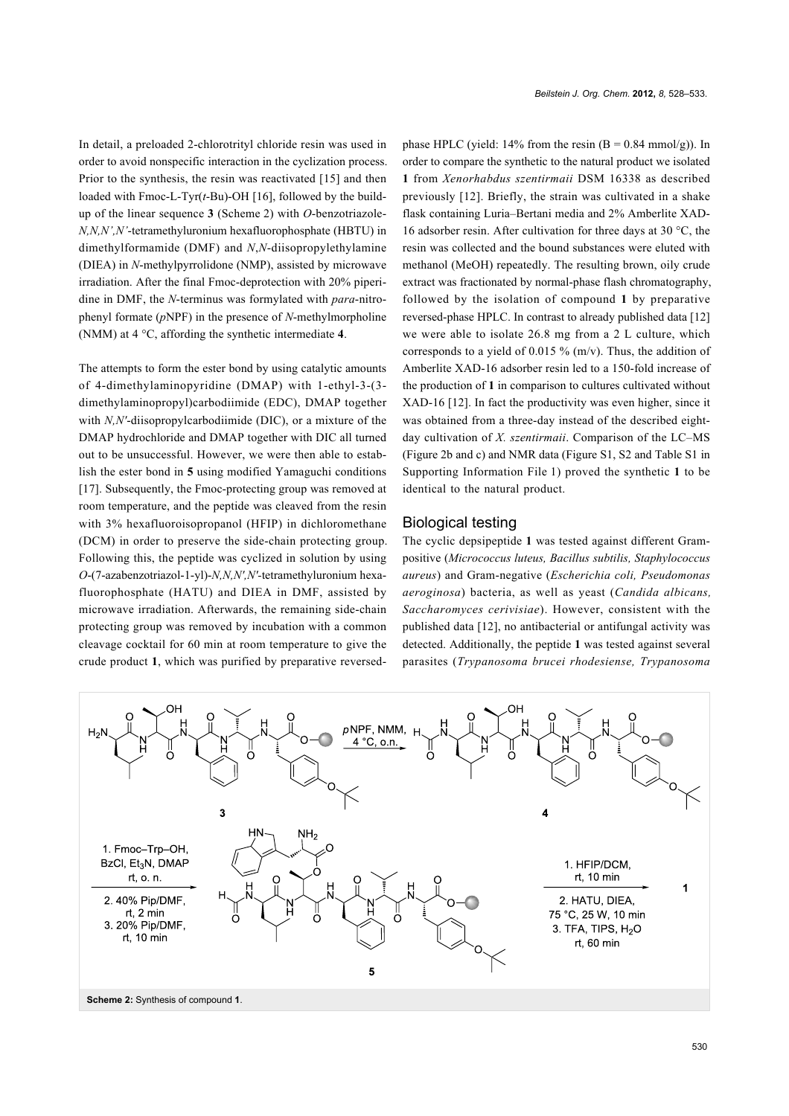In detail, a preloaded 2-chlorotrityl chloride resin was used in order to avoid nonspecific interaction in the cyclization process. Prior to the synthesis, the resin was reactivated [\[15\]](#page-5-10) and then loaded with Fmoc-L-Tyr(*t*-Bu)-OH [\[16\],](#page-5-11) followed by the buildup of the linear sequence **3** [\(Scheme 2](#page-2-0)) with *O*-benzotriazole-*N,N,N',N'*-tetramethyluronium hexafluorophosphate (HBTU) in dimethylformamide (DMF) and *N*,*N*-diisopropylethylamine (DIEA) in *N*-methylpyrrolidone (NMP), assisted by microwave irradiation. After the final Fmoc-deprotection with 20% piperidine in DMF, the *N*-terminus was formylated with *para*-nitrophenyl formate (*p*NPF) in the presence of *N*-methylmorpholine (NMM) at 4 °C, affording the synthetic intermediate **4**.

The attempts to form the ester bond by using catalytic amounts of 4-dimethylaminopyridine (DMAP) with 1-ethyl-3-(3 dimethylaminopropyl)carbodiimide (EDC), DMAP together with *N,N′*-diisopropylcarbodiimide (DIC), or a mixture of the DMAP hydrochloride and DMAP together with DIC all turned out to be unsuccessful. However, we were then able to establish the ester bond in **5** using modified Yamaguchi conditions [\[17\].](#page-5-12) Subsequently, the Fmoc-protecting group was removed at room temperature, and the peptide was cleaved from the resin with 3% hexafluoroisopropanol (HFIP) in dichloromethane (DCM) in order to preserve the side-chain protecting group. Following this, the peptide was cyclized in solution by using *O*-(7-azabenzotriazol-1-yl)-*N,N,N′,N′-*tetramethyluronium hexafluorophosphate (HATU) and DIEA in DMF, assisted by microwave irradiation. Afterwards, the remaining side-chain protecting group was removed by incubation with a common cleavage cocktail for 60 min at room temperature to give the crude product **1**, which was purified by preparative reversedphase HPLC (yield: 14% from the resin  $(B = 0.84 \text{ mmol/g})$ ). In order to compare the synthetic to the natural product we isolated **1** from *Xenorhabdus szentirmaii* DSM 16338 as described previously [\[12\]](#page-5-8). Briefly, the strain was cultivated in a shake flask containing Luria–Bertani media and 2% Amberlite XAD-16 adsorber resin. After cultivation for three days at 30 °C, the resin was collected and the bound substances were eluted with methanol (MeOH) repeatedly. The resulting brown, oily crude extract was fractionated by normal-phase flash chromatography, followed by the isolation of compound **1** by preparative reversed-phase HPLC. In contrast to already published data [\[12\]](#page-5-8) we were able to isolate 26.8 mg from a 2 L culture, which corresponds to a yield of 0.015 % (m/v). Thus, the addition of Amberlite XAD-16 adsorber resin led to a 150-fold increase of the production of **1** in comparison to cultures cultivated without XAD-16 [\[12\]](#page-5-8). In fact the productivity was even higher, since it was obtained from a three-day instead of the described eightday cultivation of *X. szentirmaii*. Comparison of the LC–MS ([Figure 2b](#page-3-0) and c) and NMR data (Figure S1, S2 and Table S1 in [Supporting Information File 1\)](#page-5-13) proved the synthetic **1** to be identical to the natural product.

#### Biological testing

The cyclic depsipeptide **1** was tested against different Grampositive (*Micrococcus luteus, Bacillus subtilis, Staphylococcus aureus*) and Gram-negative (*Escherichia coli, Pseudomonas aeroginosa*) bacteria, as well as yeast (*Candida albicans, Saccharomyces cerivisiae*). However, consistent with the published data [\[12\]](#page-5-8), no antibacterial or antifungal activity was detected. Additionally, the peptide **1** was tested against several parasites (*Trypanosoma brucei rhodesiense, Trypanosoma*

<span id="page-2-0"></span>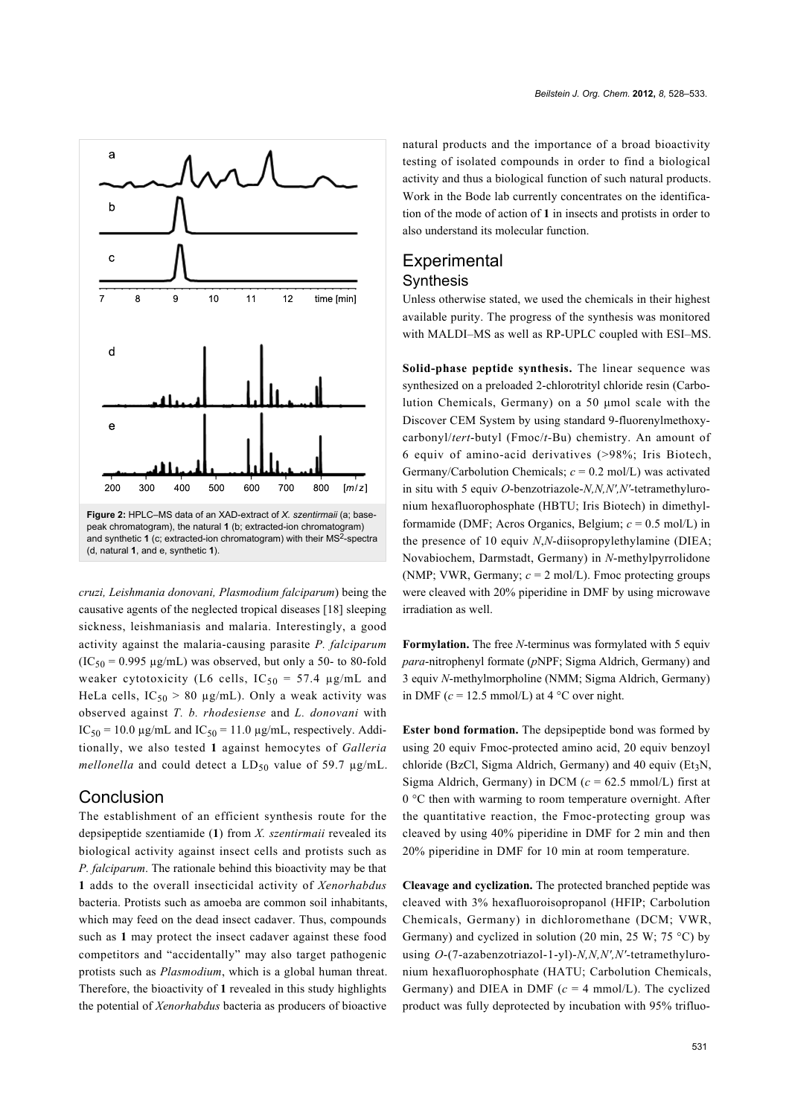<span id="page-3-0"></span>

*cruzi, Leishmania donovani, Plasmodium falciparum*) being the causative agents of the neglected tropical diseases [\[18\]](#page-5-14) sleeping sickness, leishmaniasis and malaria. Interestingly, a good activity against the malaria-causing parasite *P. falciparum*  $(IC_{50} = 0.995 \text{ µg/mL})$  was observed, but only a 50- to 80-fold weaker cytotoxicity (L6 cells,  $IC_{50} = 57.4 \mu g/mL$  and HeLa cells,  $IC_{50} > 80 \mu g/mL$ ). Only a weak activity was observed against *T. b. rhodesiense* and *L. donovani* with  $IC_{50} = 10.0 \text{ µg/mL}$  and  $IC_{50} = 11.0 \text{ µg/mL}$ , respectively. Additionally, we also tested **1** against hemocytes of *Galleria mellonella* and could detect a  $LD_{50}$  value of 59.7  $\mu$ g/mL.

#### Conclusion

The establishment of an efficient synthesis route for the depsipeptide szentiamide (**1**) from *X. szentirmaii* revealed its biological activity against insect cells and protists such as *P. falciparum*. The rationale behind this bioactivity may be that **1** adds to the overall insecticidal activity of *Xenorhabdus* bacteria. Protists such as amoeba are common soil inhabitants, which may feed on the dead insect cadaver. Thus, compounds such as **1** may protect the insect cadaver against these food competitors and "accidentally" may also target pathogenic protists such as *Plasmodium*, which is a global human threat. Therefore, the bioactivity of **1** revealed in this study highlights the potential of *Xenorhabdus* bacteria as producers of bioactive

natural products and the importance of a broad bioactivity testing of isolated compounds in order to find a biological activity and thus a biological function of such natural products. Work in the Bode lab currently concentrates on the identification of the mode of action of **1** in insects and protists in order to also understand its molecular function.

## **Experimental** Synthesis

Unless otherwise stated, we used the chemicals in their highest available purity. The progress of the synthesis was monitored with MALDI–MS as well as RP-UPLC coupled with ESI–MS.

**Solid-phase peptide synthesis.** The linear sequence was synthesized on a preloaded 2-chlorotrityl chloride resin (Carbolution Chemicals, Germany) on a 50 μmol scale with the Discover CEM System by using standard 9-fluorenylmethoxycarbonyl/*tert*-butyl (Fmoc/*t-*Bu) chemistry. An amount of 6 equiv of amino-acid derivatives (>98%; Iris Biotech, Germany/Carbolution Chemicals;  $c = 0.2$  mol/L) was activated in situ with 5 equiv *O*-benzotriazole-*N,N,N′,N′*-tetramethyluronium hexafluorophosphate (HBTU; Iris Biotech) in dimethylformamide (DMF; Acros Organics, Belgium; *c* = 0.5 mol/L) in the presence of 10 equiv *N*,*N*-diisopropylethylamine (DIEA; Novabiochem, Darmstadt, Germany) in *N*-methylpyrrolidone (NMP; VWR, Germany;  $c = 2$  mol/L). Fmoc protecting groups were cleaved with 20% piperidine in DMF by using microwave irradiation as well.

**Formylation.** The free *N*-terminus was formylated with 5 equiv *para*-nitrophenyl formate (*p*NPF; Sigma Aldrich, Germany) and 3 equiv *N*-methylmorpholine (NMM; Sigma Aldrich, Germany) in DMF ( $c = 12.5$  mmol/L) at 4 °C over night.

**Ester bond formation.** The depsipeptide bond was formed by using 20 equiv Fmoc-protected amino acid, 20 equiv benzoyl chloride (BzCl, Sigma Aldrich, Germany) and 40 equiv (Et<sub>3</sub>N, Sigma Aldrich, Germany) in DCM  $(c = 62.5 \text{ mmol/L})$  first at 0 °C then with warming to room temperature overnight. After the quantitative reaction, the Fmoc-protecting group was cleaved by using 40% piperidine in DMF for 2 min and then 20% piperidine in DMF for 10 min at room temperature.

**Cleavage and cyclization.** The protected branched peptide was cleaved with 3% hexafluoroisopropanol (HFIP; Carbolution Chemicals, Germany) in dichloromethane (DCM; VWR, Germany) and cyclized in solution (20 min, 25 W; 75 °C) by using *O*-(7-azabenzotriazol-1-yl)-*N,N,N′,N′-*tetramethyluronium hexafluorophosphate (HATU; Carbolution Chemicals, Germany) and DIEA in DMF  $(c = 4 \text{ mmol/L})$ . The cyclized product was fully deprotected by incubation with 95% trifluo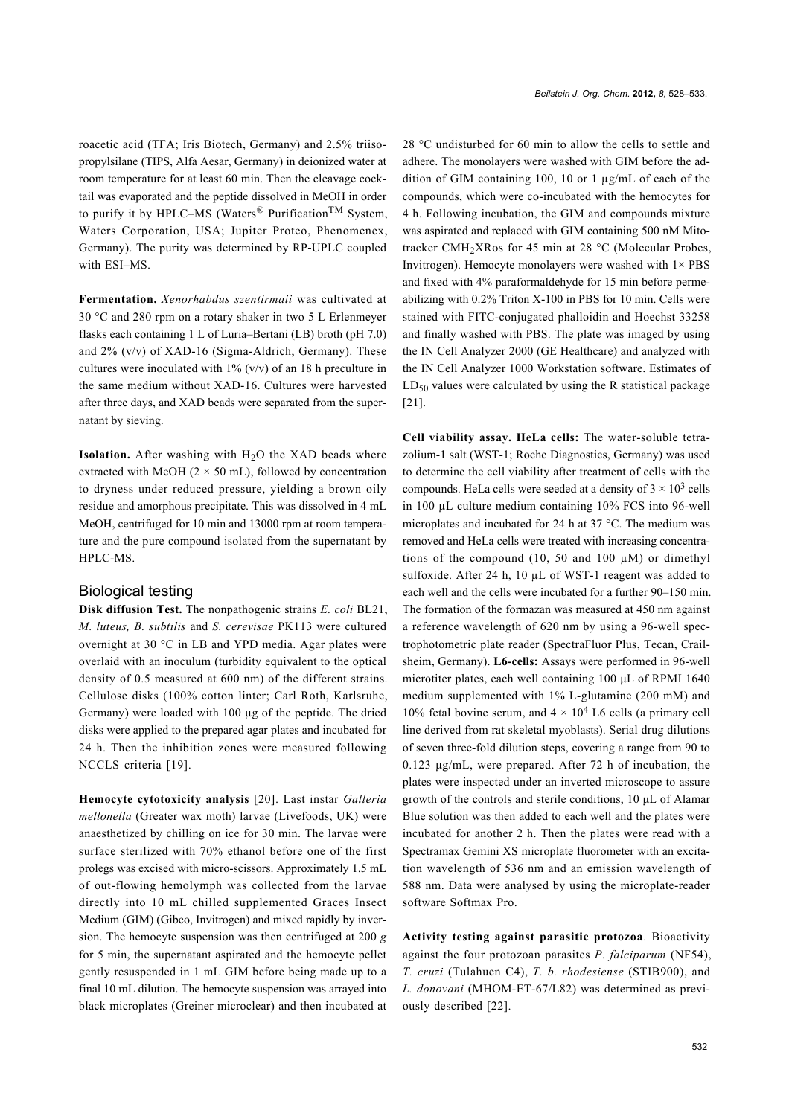roacetic acid (TFA; Iris Biotech, Germany) and 2.5% triisopropylsilane (TIPS, Alfa Aesar, Germany) in deionized water at room temperature for at least 60 min. Then the cleavage cocktail was evaporated and the peptide dissolved in MeOH in order to purify it by HPLC–MS (Waters<sup>®</sup> Purification<sup>TM</sup> System, Waters Corporation, USA; Jupiter Proteo, Phenomenex, Germany). The purity was determined by RP-UPLC coupled with ESI–MS.

**Fermentation.** *Xenorhabdus szentirmaii* was cultivated at 30 °C and 280 rpm on a rotary shaker in two 5 L Erlenmeyer flasks each containing 1 L of Luria–Bertani (LB) broth (pH 7.0) and 2% (v/v) of XAD-16 (Sigma-Aldrich, Germany). These cultures were inoculated with  $1\%$  (v/v) of an 18 h preculture in the same medium without XAD-16. Cultures were harvested after three days, and XAD beads were separated from the supernatant by sieving.

**Isolation.** After washing with  $H_2O$  the XAD beads where extracted with MeOH ( $2 \times 50$  mL), followed by concentration to dryness under reduced pressure, yielding a brown oily residue and amorphous precipitate. This was dissolved in 4 mL MeOH, centrifuged for 10 min and 13000 rpm at room temperature and the pure compound isolated from the supernatant by HPLC-MS.

#### Biological testing

**Disk diffusion Test.** The nonpathogenic strains *E. coli* BL21, *M. luteus, B. subtilis* and *S. cerevisae* PK113 were cultured overnight at 30 °C in LB and YPD media. Agar plates were overlaid with an inoculum (turbidity equivalent to the optical density of 0.5 measured at 600 nm) of the different strains. Cellulose disks (100% cotton linter; Carl Roth, Karlsruhe, Germany) were loaded with 100 µg of the peptide. The dried disks were applied to the prepared agar plates and incubated for 24 h. Then the inhibition zones were measured following NCCLS criteria [\[19\].](#page-5-15)

**Hemocyte cytotoxicity analysis** [\[20\]](#page-5-16). Last instar *Galleria mellonella* (Greater wax moth) larvae (Livefoods, UK) were anaesthetized by chilling on ice for 30 min. The larvae were surface sterilized with 70% ethanol before one of the first prolegs was excised with micro-scissors. Approximately 1.5 mL of out-flowing hemolymph was collected from the larvae directly into 10 mL chilled supplemented Graces Insect Medium (GIM) (Gibco, Invitrogen) and mixed rapidly by inversion. The hemocyte suspension was then centrifuged at 200 *g* for 5 min, the supernatant aspirated and the hemocyte pellet gently resuspended in 1 mL GIM before being made up to a final 10 mL dilution. The hemocyte suspension was arrayed into black microplates (Greiner microclear) and then incubated at

28 °C undisturbed for 60 min to allow the cells to settle and adhere. The monolayers were washed with GIM before the addition of GIM containing 100, 10 or 1 µg/mL of each of the compounds, which were co-incubated with the hemocytes for 4 h. Following incubation, the GIM and compounds mixture was aspirated and replaced with GIM containing 500 nM Mitotracker CMH<sub>2</sub>XRos for 45 min at 28  $^{\circ}$ C (Molecular Probes, Invitrogen). Hemocyte monolayers were washed with  $1 \times PBS$ and fixed with 4% paraformaldehyde for 15 min before permeabilizing with 0.2% Triton X-100 in PBS for 10 min. Cells were stained with FITC-conjugated phalloidin and Hoechst 33258 and finally washed with PBS. The plate was imaged by using the IN Cell Analyzer 2000 (GE Healthcare) and analyzed with the IN Cell Analyzer 1000 Workstation software. Estimates of  $LD_{50}$  values were calculated by using the R statistical package [\[21\].](#page-5-17)

**Cell viability assay. HeLa cells:** The water-soluble tetrazolium-1 salt (WST-1; Roche Diagnostics, Germany) was used to determine the cell viability after treatment of cells with the compounds. HeLa cells were seeded at a density of  $3 \times 10^3$  cells in 100 µL culture medium containing 10% FCS into 96-well microplates and incubated for 24 h at 37 °C. The medium was removed and HeLa cells were treated with increasing concentrations of the compound (10, 50 and 100  $\mu$ M) or dimethyl sulfoxide. After 24 h, 10  $\mu$ L of WST-1 reagent was added to each well and the cells were incubated for a further 90–150 min. The formation of the formazan was measured at 450 nm against a reference wavelength of 620 nm by using a 96-well spectrophotometric plate reader (SpectraFluor Plus, Tecan, Crailsheim, Germany). **L6-cells:** Assays were performed in 96-well microtiter plates, each well containing 100 μL of RPMI 1640 medium supplemented with 1% L-glutamine (200 mM) and 10% fetal bovine serum, and  $4 \times 10^4$  L6 cells (a primary cell line derived from rat skeletal myoblasts). Serial drug dilutions of seven three-fold dilution steps, covering a range from 90 to 0.123 μg/mL, were prepared. After 72 h of incubation, the plates were inspected under an inverted microscope to assure growth of the controls and sterile conditions, 10 μL of Alamar Blue solution was then added to each well and the plates were incubated for another 2 h. Then the plates were read with a Spectramax Gemini XS microplate fluorometer with an excitation wavelength of 536 nm and an emission wavelength of 588 nm. Data were analysed by using the microplate-reader software Softmax Pro.

**Activity testing against parasitic protozoa**. Bioactivity against the four protozoan parasites *P. falciparum* (NF54), *T. cruzi* (Tulahuen C4), *T. b. rhodesiense* (STIB900), and *L. donovani* (MHOM-ET-67/L82) was determined as previously described [\[22\]](#page-5-18).